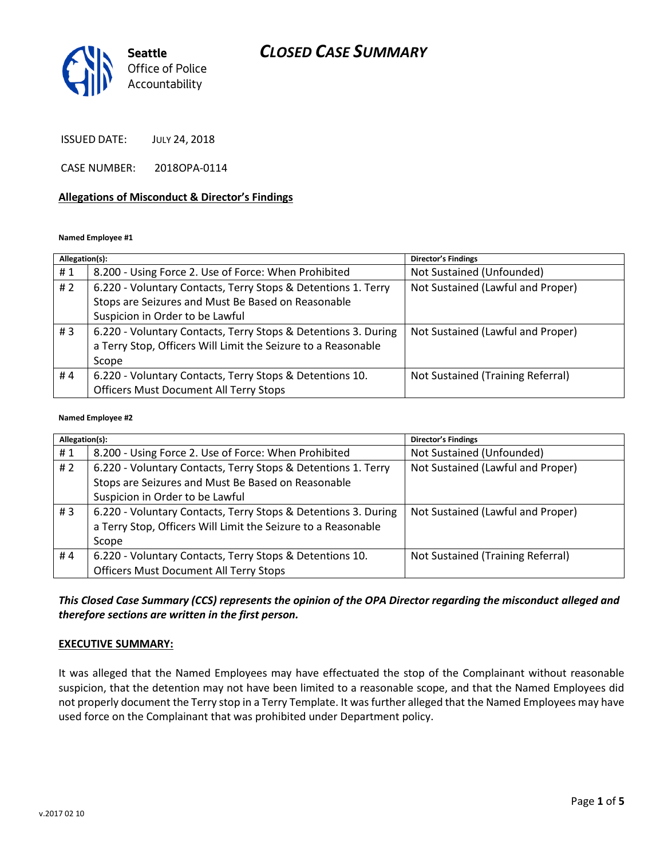# *CLOSED CASE SUMMARY*



ISSUED DATE: JULY 24, 2018

CASE NUMBER: 2018OPA-0114

#### **Allegations of Misconduct & Director's Findings**

**Named Employee #1**

| Allegation(s): |                                                                | <b>Director's Findings</b>        |
|----------------|----------------------------------------------------------------|-----------------------------------|
| #1             | 8.200 - Using Force 2. Use of Force: When Prohibited           | Not Sustained (Unfounded)         |
| #2             | 6.220 - Voluntary Contacts, Terry Stops & Detentions 1. Terry  | Not Sustained (Lawful and Proper) |
|                | Stops are Seizures and Must Be Based on Reasonable             |                                   |
|                | Suspicion in Order to be Lawful                                |                                   |
| #3             | 6.220 - Voluntary Contacts, Terry Stops & Detentions 3. During | Not Sustained (Lawful and Proper) |
|                | a Terry Stop, Officers Will Limit the Seizure to a Reasonable  |                                   |
|                | Scope                                                          |                                   |
| #4             | 6.220 - Voluntary Contacts, Terry Stops & Detentions 10.       | Not Sustained (Training Referral) |
|                | <b>Officers Must Document All Terry Stops</b>                  |                                   |

#### **Named Employee #2**

| Allegation(s): |                                                                | Director's Findings               |
|----------------|----------------------------------------------------------------|-----------------------------------|
| #1             | 8.200 - Using Force 2. Use of Force: When Prohibited           | Not Sustained (Unfounded)         |
| #2             | 6.220 - Voluntary Contacts, Terry Stops & Detentions 1. Terry  | Not Sustained (Lawful and Proper) |
|                | Stops are Seizures and Must Be Based on Reasonable             |                                   |
|                | Suspicion in Order to be Lawful                                |                                   |
| #3             | 6.220 - Voluntary Contacts, Terry Stops & Detentions 3. During | Not Sustained (Lawful and Proper) |
|                | a Terry Stop, Officers Will Limit the Seizure to a Reasonable  |                                   |
|                | Scope                                                          |                                   |
| #4             | 6.220 - Voluntary Contacts, Terry Stops & Detentions 10.       | Not Sustained (Training Referral) |
|                | <b>Officers Must Document All Terry Stops</b>                  |                                   |

*This Closed Case Summary (CCS) represents the opinion of the OPA Director regarding the misconduct alleged and therefore sections are written in the first person.* 

#### **EXECUTIVE SUMMARY:**

It was alleged that the Named Employees may have effectuated the stop of the Complainant without reasonable suspicion, that the detention may not have been limited to a reasonable scope, and that the Named Employees did not properly document the Terry stop in a Terry Template. It was further alleged that the Named Employees may have used force on the Complainant that was prohibited under Department policy.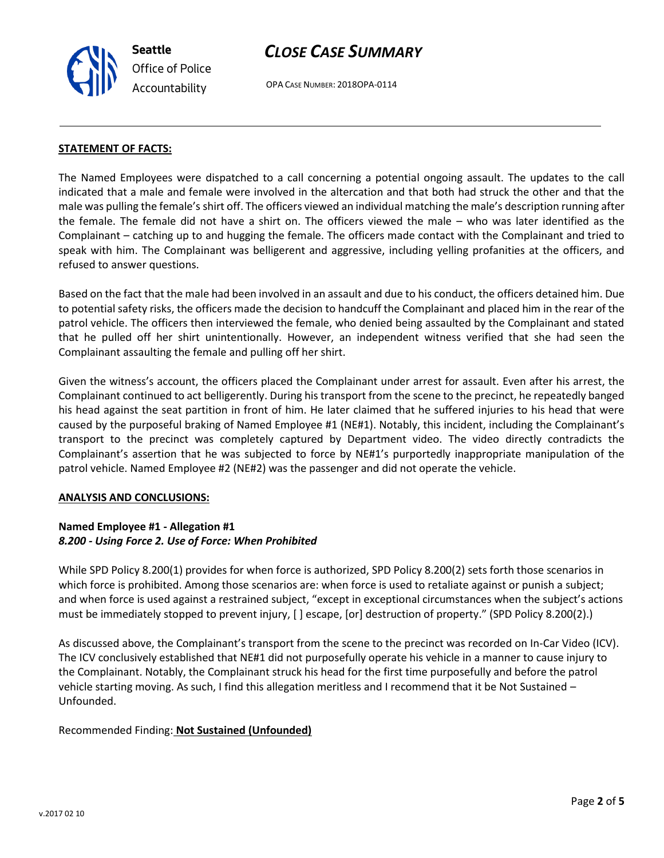**Seattle** *Office of Police Accountability*

# *CLOSE CASE SUMMARY*

OPA CASE NUMBER: 2018OPA-0114

# **STATEMENT OF FACTS:**

The Named Employees were dispatched to a call concerning a potential ongoing assault. The updates to the call indicated that a male and female were involved in the altercation and that both had struck the other and that the male was pulling the female's shirt off. The officers viewed an individual matching the male's description running after the female. The female did not have a shirt on. The officers viewed the male – who was later identified as the Complainant – catching up to and hugging the female. The officers made contact with the Complainant and tried to speak with him. The Complainant was belligerent and aggressive, including yelling profanities at the officers, and refused to answer questions.

Based on the fact that the male had been involved in an assault and due to his conduct, the officers detained him. Due to potential safety risks, the officers made the decision to handcuff the Complainant and placed him in the rear of the patrol vehicle. The officers then interviewed the female, who denied being assaulted by the Complainant and stated that he pulled off her shirt unintentionally. However, an independent witness verified that she had seen the Complainant assaulting the female and pulling off her shirt.

Given the witness's account, the officers placed the Complainant under arrest for assault. Even after his arrest, the Complainant continued to act belligerently. During his transport from the scene to the precinct, he repeatedly banged his head against the seat partition in front of him. He later claimed that he suffered injuries to his head that were caused by the purposeful braking of Named Employee #1 (NE#1). Notably, this incident, including the Complainant's transport to the precinct was completely captured by Department video. The video directly contradicts the Complainant's assertion that he was subjected to force by NE#1's purportedly inappropriate manipulation of the patrol vehicle. Named Employee #2 (NE#2) was the passenger and did not operate the vehicle.

## **ANALYSIS AND CONCLUSIONS:**

## **Named Employee #1 - Allegation #1** *8.200 - Using Force 2. Use of Force: When Prohibited*

While SPD Policy 8.200(1) provides for when force is authorized, SPD Policy 8.200(2) sets forth those scenarios in which force is prohibited. Among those scenarios are: when force is used to retaliate against or punish a subject; and when force is used against a restrained subject, "except in exceptional circumstances when the subject's actions must be immediately stopped to prevent injury, [ ] escape, [or] destruction of property." (SPD Policy 8.200(2).)

As discussed above, the Complainant's transport from the scene to the precinct was recorded on In-Car Video (ICV). The ICV conclusively established that NE#1 did not purposefully operate his vehicle in a manner to cause injury to the Complainant. Notably, the Complainant struck his head for the first time purposefully and before the patrol vehicle starting moving. As such, I find this allegation meritless and I recommend that it be Not Sustained – Unfounded.

## Recommended Finding: **Not Sustained (Unfounded)**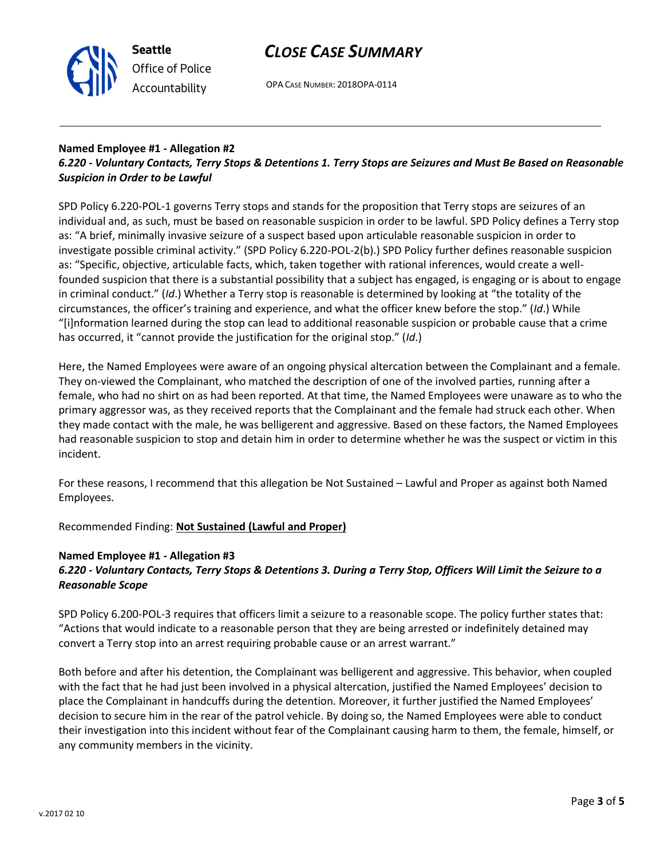



OPA CASE NUMBER: 2018OPA-0114

# **Named Employee #1 - Allegation #2**

# *6.220 - Voluntary Contacts, Terry Stops & Detentions 1. Terry Stops are Seizures and Must Be Based on Reasonable Suspicion in Order to be Lawful*

SPD Policy 6.220-POL-1 governs Terry stops and stands for the proposition that Terry stops are seizures of an individual and, as such, must be based on reasonable suspicion in order to be lawful. SPD Policy defines a Terry stop as: "A brief, minimally invasive seizure of a suspect based upon articulable reasonable suspicion in order to investigate possible criminal activity." (SPD Policy 6.220-POL-2(b).) SPD Policy further defines reasonable suspicion as: "Specific, objective, articulable facts, which, taken together with rational inferences, would create a wellfounded suspicion that there is a substantial possibility that a subject has engaged, is engaging or is about to engage in criminal conduct." (*Id*.) Whether a Terry stop is reasonable is determined by looking at "the totality of the circumstances, the officer's training and experience, and what the officer knew before the stop." (*Id*.) While "[i]nformation learned during the stop can lead to additional reasonable suspicion or probable cause that a crime has occurred, it "cannot provide the justification for the original stop." (*Id*.)

Here, the Named Employees were aware of an ongoing physical altercation between the Complainant and a female. They on-viewed the Complainant, who matched the description of one of the involved parties, running after a female, who had no shirt on as had been reported. At that time, the Named Employees were unaware as to who the primary aggressor was, as they received reports that the Complainant and the female had struck each other. When they made contact with the male, he was belligerent and aggressive. Based on these factors, the Named Employees had reasonable suspicion to stop and detain him in order to determine whether he was the suspect or victim in this incident.

For these reasons, I recommend that this allegation be Not Sustained – Lawful and Proper as against both Named Employees.

Recommended Finding: **Not Sustained (Lawful and Proper)**

### **Named Employee #1 - Allegation #3** *6.220 - Voluntary Contacts, Terry Stops & Detentions 3. During a Terry Stop, Officers Will Limit the Seizure to a Reasonable Scope*

SPD Policy 6.200-POL-3 requires that officers limit a seizure to a reasonable scope. The policy further states that: "Actions that would indicate to a reasonable person that they are being arrested or indefinitely detained may convert a Terry stop into an arrest requiring probable cause or an arrest warrant."

Both before and after his detention, the Complainant was belligerent and aggressive. This behavior, when coupled with the fact that he had just been involved in a physical altercation, justified the Named Employees' decision to place the Complainant in handcuffs during the detention. Moreover, it further justified the Named Employees' decision to secure him in the rear of the patrol vehicle. By doing so, the Named Employees were able to conduct their investigation into this incident without fear of the Complainant causing harm to them, the female, himself, or any community members in the vicinity.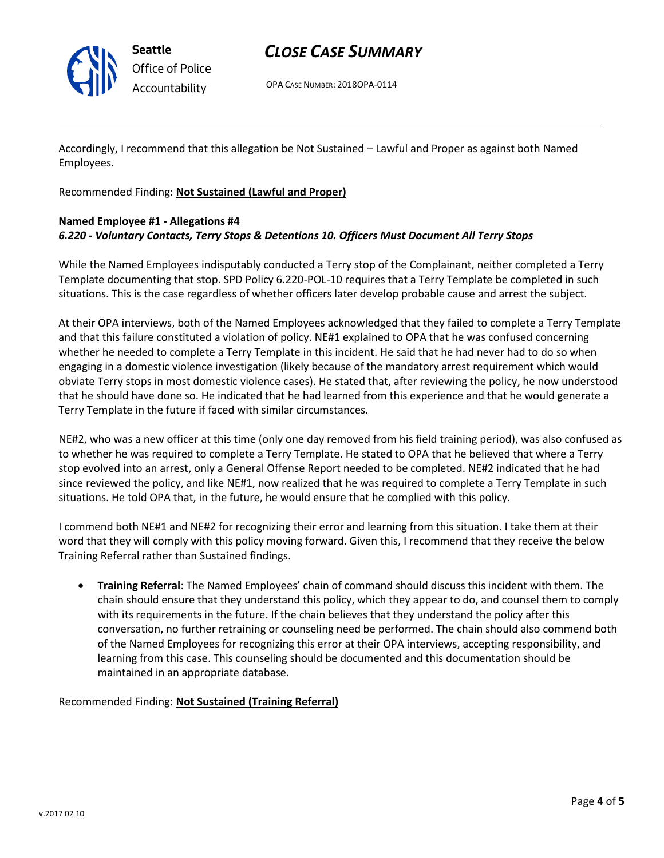

**Seattle** *Office of Police Accountability*

# *CLOSE CASE SUMMARY*

OPA CASE NUMBER: 2018OPA-0114

Accordingly, I recommend that this allegation be Not Sustained – Lawful and Proper as against both Named Employees.

Recommended Finding: **Not Sustained (Lawful and Proper)**

# **Named Employee #1 - Allegations #4** *6.220 - Voluntary Contacts, Terry Stops & Detentions 10. Officers Must Document All Terry Stops*

While the Named Employees indisputably conducted a Terry stop of the Complainant, neither completed a Terry Template documenting that stop. SPD Policy 6.220-POL-10 requires that a Terry Template be completed in such situations. This is the case regardless of whether officers later develop probable cause and arrest the subject.

At their OPA interviews, both of the Named Employees acknowledged that they failed to complete a Terry Template and that this failure constituted a violation of policy. NE#1 explained to OPA that he was confused concerning whether he needed to complete a Terry Template in this incident. He said that he had never had to do so when engaging in a domestic violence investigation (likely because of the mandatory arrest requirement which would obviate Terry stops in most domestic violence cases). He stated that, after reviewing the policy, he now understood that he should have done so. He indicated that he had learned from this experience and that he would generate a Terry Template in the future if faced with similar circumstances.

NE#2, who was a new officer at this time (only one day removed from his field training period), was also confused as to whether he was required to complete a Terry Template. He stated to OPA that he believed that where a Terry stop evolved into an arrest, only a General Offense Report needed to be completed. NE#2 indicated that he had since reviewed the policy, and like NE#1, now realized that he was required to complete a Terry Template in such situations. He told OPA that, in the future, he would ensure that he complied with this policy.

I commend both NE#1 and NE#2 for recognizing their error and learning from this situation. I take them at their word that they will comply with this policy moving forward. Given this, I recommend that they receive the below Training Referral rather than Sustained findings.

• **Training Referral**: The Named Employees' chain of command should discuss this incident with them. The chain should ensure that they understand this policy, which they appear to do, and counsel them to comply with its requirements in the future. If the chain believes that they understand the policy after this conversation, no further retraining or counseling need be performed. The chain should also commend both of the Named Employees for recognizing this error at their OPA interviews, accepting responsibility, and learning from this case. This counseling should be documented and this documentation should be maintained in an appropriate database.

Recommended Finding: **Not Sustained (Training Referral)**